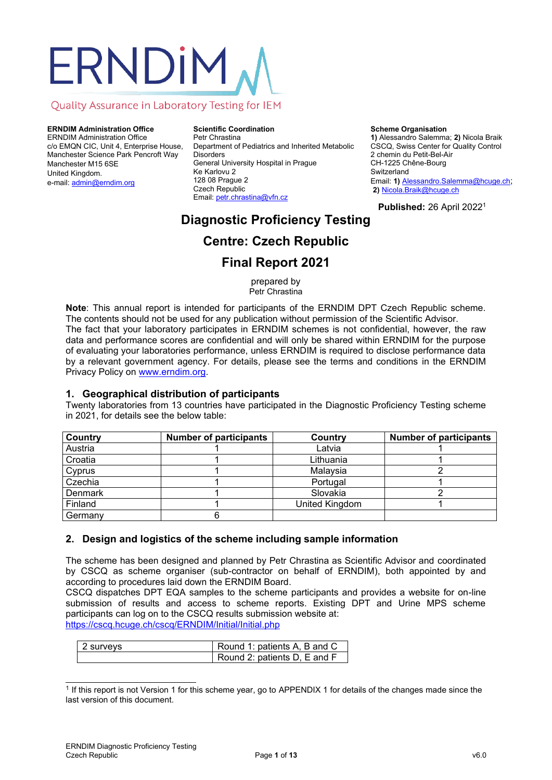# ERNDIM

## Quality Assurance in Laboratory Testing for IEM

**ERNDIM Administration Office** ERNDIM Administration Office c/o EMQN CIC, Unit 4, Enterprise House, Manchester Science Park Pencroft Way Manchester M15 6SE United Kingdom. e-mail[: admin@erndim.org](mailto:admin@erndim.org)

**Scientific Coordination** Petr Chrastina Department of Pediatrics and Inherited Metabolic **Disorders** General University Hospital in Prague Ke Karlovu 2 128 08 Prague 2 Czech Republic Email: [petr.chrastina@vfn.cz](mailto:petr.chrastina@vfn.cz)

**Scheme Organisation**

**1)** Alessandro Salemma; **2)** Nicola Braik CSCQ, Swiss Center for Quality Control 2 chemin du Petit-Bel-Air CH-1225 Chêne-Bourg **Switzerland** Email: **1)** Alessandro.Salemma@hcuge.ch; **2)** Nicola.Braik@hcuge.ch

**Published:** 26 April 2022<sup>1</sup>

# **Diagnostic Proficiency Testing**

# **Centre: Czech Republic**

## **Final Report 2021**

prepared by Petr Chrastina

**Note**: This annual report is intended for participants of the ERNDIM DPT Czech Republic scheme. The contents should not be used for any publication without permission of the Scientific Advisor. The fact that your laboratory participates in ERNDIM schemes is not confidential, however, the raw data and performance scores are confidential and will only be shared within ERNDIM for the purpose of evaluating your laboratories performance, unless ERNDIM is required to disclose performance data by a relevant government agency. For details, please see the terms and conditions in the ERNDIM Privacy Policy on [www.erndim.org.](http://www.erndim.org/)

## **1. Geographical distribution of participants**

Twenty laboratories from 13 countries have participated in the Diagnostic Proficiency Testing scheme in 2021, for details see the below table:

| Country        | <b>Number of participants</b> | Country        | <b>Number of participants</b> |
|----------------|-------------------------------|----------------|-------------------------------|
| Austria        |                               | Latvia         |                               |
| Croatia        |                               | Lithuania      |                               |
| Cyprus         |                               | Malaysia       |                               |
| Czechia        |                               | Portugal       |                               |
| <b>Denmark</b> |                               | Slovakia       |                               |
| Finland        |                               | United Kingdom |                               |
| Germany        |                               |                |                               |

## **2. Design and logistics of the scheme including sample information**

The scheme has been designed and planned by Petr Chrastina as Scientific Advisor and coordinated by CSCQ as scheme organiser (sub-contractor on behalf of ERNDIM), both appointed by and according to procedures laid down the ERNDIM Board.

CSCQ dispatches DPT EQA samples to the scheme participants and provides a website for on-line submission of results and access to scheme reports. Existing DPT and Urine MPS scheme participants can log on to the CSCQ results submission website at: <https://cscq.hcuge.ch/cscq/ERNDIM/Initial/Initial.php>

| l 2 survevs | Round 1: patients A, B and C |
|-------------|------------------------------|
|             | Round 2: patients D, E and F |

<sup>&</sup>lt;sup>1</sup> If this report is not Version 1 for this scheme year, go to [APPENDIX 1](#page-12-0) for details of the changes made since the last version of this document.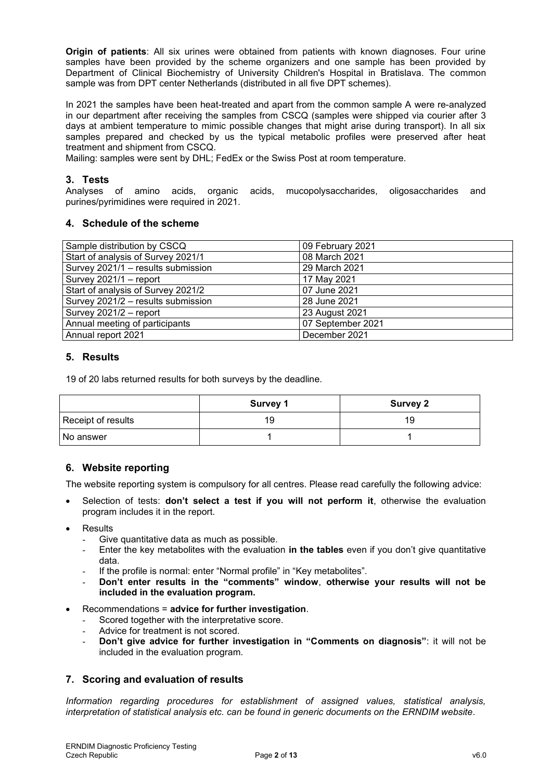**Origin of patients**: All six urines were obtained from patients with known diagnoses. Four urine samples have been provided by the scheme organizers and one sample has been provided by Department of Clinical Biochemistry of University Children's Hospital in Bratislava. The common sample was from DPT center Netherlands (distributed in all five DPT schemes).

In 2021 the samples have been heat-treated and apart from the common sample A were re-analyzed in our department after receiving the samples from CSCQ (samples were shipped via courier after 3 days at ambient temperature to mimic possible changes that might arise during transport). In all six samples prepared and checked by us the typical metabolic profiles were preserved after heat treatment and shipment from CSCQ.

Mailing: samples were sent by DHL; FedEx or the Swiss Post at room temperature.

## **3. Tests**

Analyses of amino acids, organic acids, mucopolysaccharides, oligosaccharides and purines/pyrimidines were required in 2021.

## **4. Schedule of the scheme**

| Sample distribution by CSCQ        | 09 February 2021  |
|------------------------------------|-------------------|
| Start of analysis of Survey 2021/1 | 08 March 2021     |
| Survey 2021/1 - results submission | 29 March 2021     |
| Survey 2021/1 - report             | 17 May 2021       |
| Start of analysis of Survey 2021/2 | 07 June 2021      |
| Survey 2021/2 - results submission | 28 June 2021      |
| Survey 2021/2 - report             | 23 August 2021    |
| Annual meeting of participants     | 07 September 2021 |
| Annual report 2021                 | December 2021     |

## **5. Results**

19 of 20 labs returned results for both surveys by the deadline.

|                    | <b>Survey 1</b> | <b>Survey 2</b> |
|--------------------|-----------------|-----------------|
| Receipt of results | 19              | 19              |
| No answer          |                 |                 |

## **6. Website reporting**

The website reporting system is compulsory for all centres. Please read carefully the following advice:

- Selection of tests: **don't select a test if you will not perform it**, otherwise the evaluation program includes it in the report.
- **Results** 
	- Give quantitative data as much as possible.
	- Enter the key metabolites with the evaluation **in the tables** even if you don't give quantitative data.
	- If the profile is normal: enter "Normal profile" in "Key metabolites".
	- **Don't enter results in the "comments" window**, **otherwise your results will not be included in the evaluation program.**
- Recommendations = **advice for further investigation**.
	- Scored together with the interpretative score.
	- Advice for treatment is not scored.
	- **Don't give advice for further investigation in "Comments on diagnosis"**: it will not be included in the evaluation program.

## **7. Scoring and evaluation of results**

*Information regarding procedures for establishment of assigned values, statistical analysis, interpretation of statistical analysis etc. can be found in generic documents on the ERNDIM website*.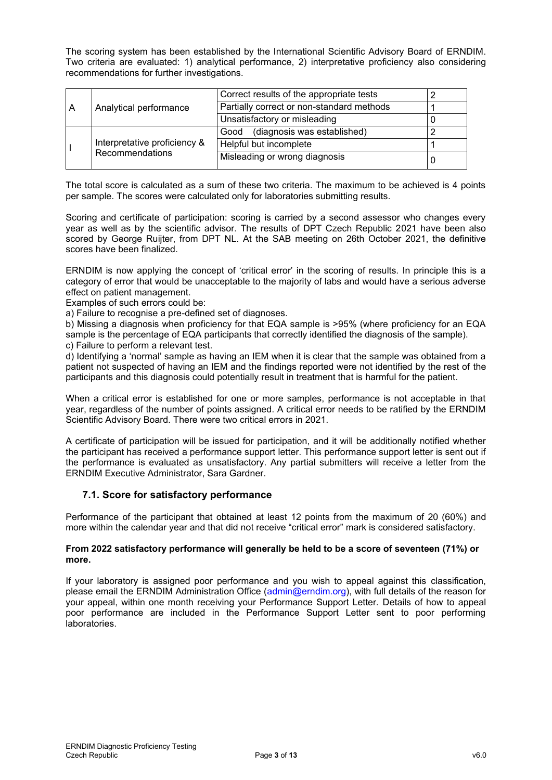The scoring system has been established by the International Scientific Advisory Board of ERNDIM. Two criteria are evaluated: 1) analytical performance, 2) interpretative proficiency also considering recommendations for further investigations.

The total score is calculated as a sum of these two criteria. The maximum to be achieved is 4 points per sample. The scores were calculated only for laboratories submitting results.

Scoring and certificate of participation: scoring is carried by a second assessor who changes every year as well as by the scientific advisor. The results of DPT Czech Republic 2021 have been also scored by George Ruijter, from DPT NL. At the SAB meeting on 26th October 2021, the definitive scores have been finalized.

ERNDIM is now applying the concept of 'critical error' in the scoring of results. In principle this is a category of error that would be unacceptable to the majority of labs and would have a serious adverse effect on patient management.

Examples of such errors could be:

a) Failure to recognise a pre-defined set of diagnoses.

b) Missing a diagnosis when proficiency for that EQA sample is >95% (where proficiency for an EQA sample is the percentage of EQA participants that correctly identified the diagnosis of the sample).

c) Failure to perform a relevant test.

d) Identifying a 'normal' sample as having an IEM when it is clear that the sample was obtained from a patient not suspected of having an IEM and the findings reported were not identified by the rest of the participants and this diagnosis could potentially result in treatment that is harmful for the patient.

When a critical error is established for one or more samples, performance is not acceptable in that year, regardless of the number of points assigned. A critical error needs to be ratified by the ERNDIM Scientific Advisory Board. There were two critical errors in 2021.

A certificate of participation will be issued for participation, and it will be additionally notified whether the participant has received a performance support letter. This performance support letter is sent out if the performance is evaluated as unsatisfactory. Any partial submitters will receive a letter from the ERNDIM Executive Administrator, Sara Gardner.

## **7.1. Score for satisfactory performance**

Performance of the participant that obtained at least 12 points from the maximum of 20 (60%) and more within the calendar year and that did not receive "critical error" mark is considered satisfactory.

#### **From 2022 satisfactory performance will generally be held to be a score of seventeen (71%) or more.**

If your laboratory is assigned poor performance and you wish to appeal against this classification, please email the ERNDIM Administration Office (admin@erndim.org), with full details of the reason for your appeal, within one month receiving your Performance Support Letter. Details of how to appeal poor performance are included in the Performance Support Letter sent to poor performing laboratories.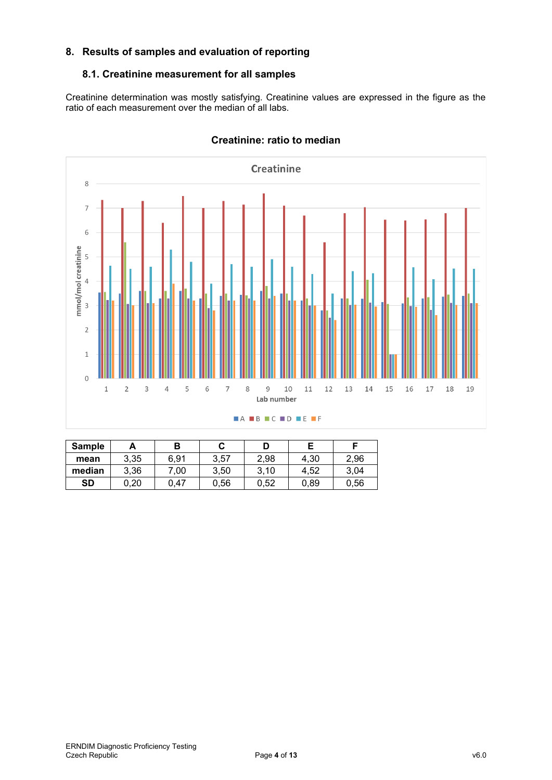## **8. Results of samples and evaluation of reporting**

## **8.1. Creatinine measurement for all samples**

Creatinine determination was mostly satisfying. Creatinine values are expressed in the figure as the ratio of each measurement over the median of all labs.



## **Creatinine: ratio to median**

| <b>Sample</b> | А    |      |      | D    |      |      |
|---------------|------|------|------|------|------|------|
| mean          | 3,35 | 6.91 | 3,57 | 2,98 | 4.30 | 2,96 |
| median        | 3,36 | 0.00 | 3.50 | 3,10 | 4.52 | 3,04 |
| <b>SD</b>     | ).20 | 0.47 | 0,56 | 0,52 | 0,89 | 0,56 |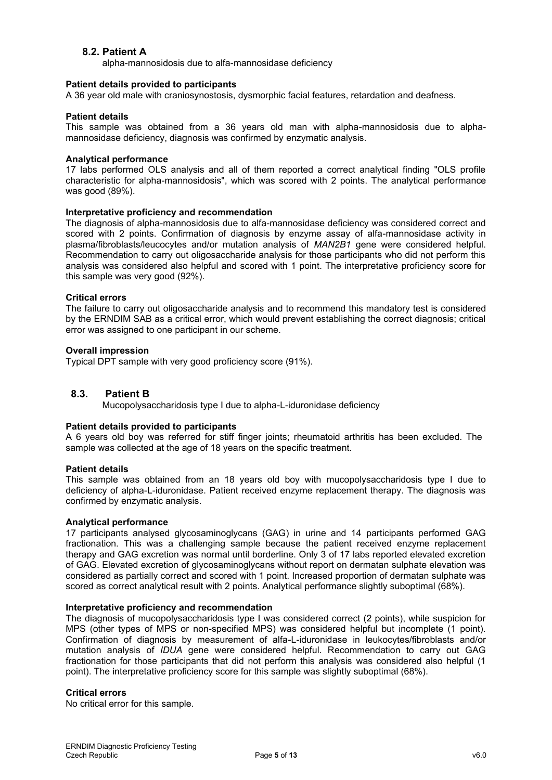## **8.2. Patient A**

alpha-mannosidosis due to alfa-mannosidase deficiency

#### **Patient details provided to participants**

A 36 year old male with craniosynostosis, dysmorphic facial features, retardation and deafness.

#### **Patient details**

This sample was obtained from a 36 years old man with alpha-mannosidosis due to alphamannosidase deficiency, diagnosis was confirmed by enzymatic analysis.

#### **Analytical performance**

17 labs performed OLS analysis and all of them reported a correct analytical finding "OLS profile characteristic for alpha-mannosidosis", which was scored with 2 points. The analytical performance was good (89%).

#### **Interpretative proficiency and recommendation**

The diagnosis of alpha-mannosidosis due to alfa-mannosidase deficiency was considered correct and scored with 2 points. Confirmation of diagnosis by enzyme assay of alfa-mannosidase activity in plasma/fibroblasts/leucocytes and/or mutation analysis of *MAN2B1* gene were considered helpful. Recommendation to carry out oligosaccharide analysis for those participants who did not perform this analysis was considered also helpful and scored with 1 point. The interpretative proficiency score for this sample was very good (92%).

#### **Critical errors**

The failure to carry out oligosaccharide analysis and to recommend this mandatory test is considered by the ERNDIM SAB as a critical error, which would prevent establishing the correct diagnosis; critical error was assigned to one participant in our scheme.

#### **Overall impression**

Typical DPT sample with very good proficiency score (91%).

## **8.3. Patient B**

Mucopolysaccharidosis type I due to alpha-L-iduronidase deficiency

#### **Patient details provided to participants**

A 6 years old boy was referred for stiff finger joints; rheumatoid arthritis has been excluded. The sample was collected at the age of 18 years on the specific treatment.

#### **Patient details**

This sample was obtained from an 18 years old boy with mucopolysaccharidosis type I due to deficiency of alpha-L-iduronidase. Patient received enzyme replacement therapy. The diagnosis was confirmed by enzymatic analysis.

#### **Analytical performance**

17 participants analysed glycosaminoglycans (GAG) in urine and 14 participants performed GAG fractionation. This was a challenging sample because the patient received enzyme replacement therapy and GAG excretion was normal until borderline. Only 3 of 17 labs reported elevated excretion of GAG. Elevated excretion of glycosaminoglycans without report on dermatan sulphate elevation was considered as partially correct and scored with 1 point. Increased proportion of dermatan sulphate was scored as correct analytical result with 2 points. Analytical performance slightly suboptimal (68%).

#### **Interpretative proficiency and recommendation**

The diagnosis of mucopolysaccharidosis type I was considered correct (2 points), while suspicion for MPS (other types of MPS or non-specified MPS) was considered helpful but incomplete (1 point). Confirmation of diagnosis by measurement of alfa-L-iduronidase in leukocytes/fibroblasts and/or mutation analysis of *IDUA* gene were considered helpful. Recommendation to carry out GAG fractionation for those participants that did not perform this analysis was considered also helpful (1 point). The interpretative proficiency score for this sample was slightly suboptimal (68%).

#### **Critical errors**

No critical error for this sample.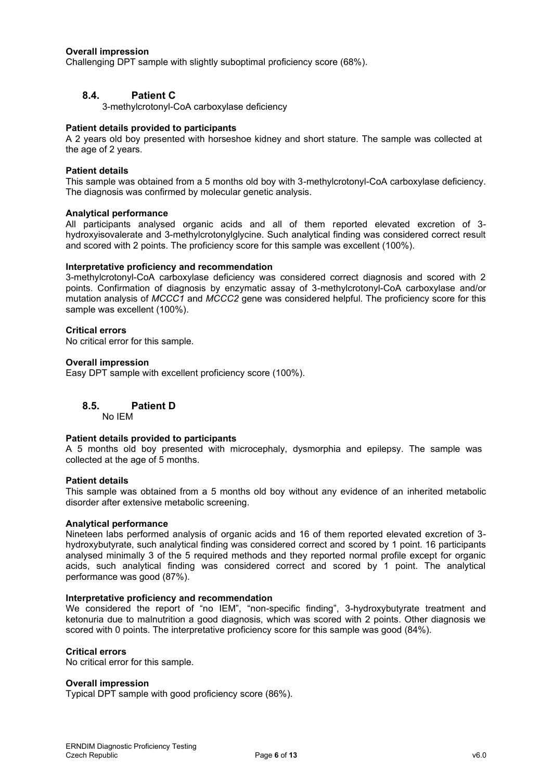#### **Overall impression**

Challenging DPT sample with slightly suboptimal proficiency score (68%).

## **8.4. Patient C**

3-methylcrotonyl-CoA carboxylase deficiency

#### **Patient details provided to participants**

A 2 years old boy presented with horseshoe kidney and short stature. The sample was collected at the age of 2 years.

#### **Patient details**

This sample was obtained from a 5 months old boy with 3-methylcrotonyl-CoA carboxylase deficiency. The diagnosis was confirmed by molecular genetic analysis.

#### **Analytical performance**

All participants analysed organic acids and all of them reported elevated excretion of 3 hydroxyisovalerate and 3-methylcrotonylglycine. Such analytical finding was considered correct result and scored with 2 points. The proficiency score for this sample was excellent (100%).

#### **Interpretative proficiency and recommendation**

3-methylcrotonyl-CoA carboxylase deficiency was considered correct diagnosis and scored with 2 points. Confirmation of diagnosis by enzymatic assay of 3-methylcrotonyl-CoA carboxylase and/or mutation analysis of *MCCC1* and *MCCC2* gene was considered helpful. The proficiency score for this sample was excellent (100%).

#### **Critical errors**

No critical error for this sample.

#### **Overall impression**

Easy DPT sample with excellent proficiency score (100%).

#### **8.5. Patient D**

No IEM

#### **Patient details provided to participants**

A 5 months old boy presented with microcephaly, dysmorphia and epilepsy. The sample was collected at the age of 5 months.

#### **Patient details**

This sample was obtained from a 5 months old boy without any evidence of an inherited metabolic disorder after extensive metabolic screening.

#### **Analytical performance**

Nineteen labs performed analysis of organic acids and 16 of them reported elevated excretion of 3 hydroxybutyrate, such analytical finding was considered correct and scored by 1 point. 16 participants analysed minimally 3 of the 5 required methods and they reported normal profile except for organic acids, such analytical finding was considered correct and scored by 1 point. The analytical performance was good (87%).

#### **Interpretative proficiency and recommendation**

We considered the report of "no IEM", "non-specific finding", 3-hydroxybutyrate treatment and ketonuria due to malnutrition a good diagnosis, which was scored with 2 points. Other diagnosis we scored with 0 points. The interpretative proficiency score for this sample was good (84%).

#### **Critical errors**

No critical error for this sample.

#### **Overall impression**

Typical DPT sample with good proficiency score (86%).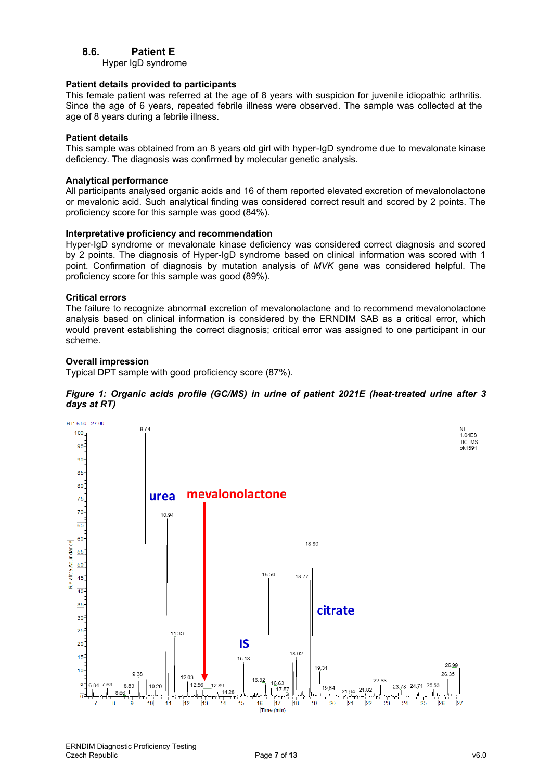## **8.6. Patient E**

Hyper IgD syndrome

#### **Patient details provided to participants**

This female patient was referred at the age of 8 years with suspicion for juvenile idiopathic arthritis. Since the age of 6 years, repeated febrile illness were observed. The sample was collected at the age of 8 years during a febrile illness.

#### **Patient details**

This sample was obtained from an 8 years old girl with hyper-IgD syndrome due to mevalonate kinase deficiency. The diagnosis was confirmed by molecular genetic analysis.

#### **Analytical performance**

All participants analysed organic acids and 16 of them reported elevated excretion of mevalonolactone or mevalonic acid. Such analytical finding was considered correct result and scored by 2 points. The proficiency score for this sample was good (84%).

#### **Interpretative proficiency and recommendation**

Hyper-IgD syndrome or mevalonate kinase deficiency was considered correct diagnosis and scored by 2 points. The diagnosis of Hyper-IgD syndrome based on clinical information was scored with 1 point. Confirmation of diagnosis by mutation analysis of *MVK* gene was considered helpful. The proficiency score for this sample was good (89%).

#### **Critical errors**

The failure to recognize abnormal excretion of mevalonolactone and to recommend mevalonolactone analysis based on clinical information is considered by the ERNDIM SAB as a critical error, which would prevent establishing the correct diagnosis; critical error was assigned to one participant in our scheme.

#### **Overall impression**

Typical DPT sample with good proficiency score (87%).



#### *Figure 1: Organic acids profile (GC/MS) in urine of patient 2021E (heat-treated urine after 3 days at RT)*

ģ

**8** 

 $12$ 

13

 $11$ 

 $10$ 

Time (min)

 $19$ 

 $18$ 

 $15$ 

16

 $\overline{24}$ 

 $25$ 

26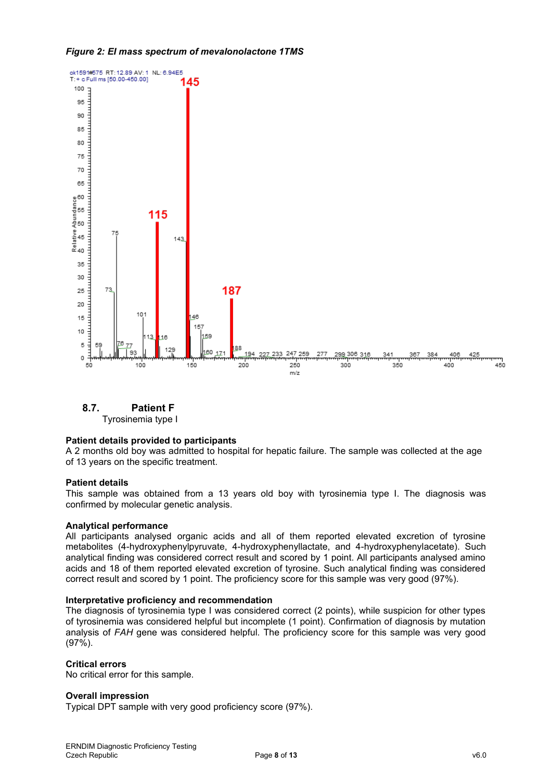## *Figure 2: EI mass spectrum of mevalonolactone 1TMS*



**8.7. Patient F**

Tyrosinemia type I

## **Patient details provided to participants**

A 2 months old boy was admitted to hospital for hepatic failure. The sample was collected at the age of 13 years on the specific treatment.

## **Patient details**

This sample was obtained from a 13 years old boy with tyrosinemia type I. The diagnosis was confirmed by molecular genetic analysis.

## **Analytical performance**

All participants analysed organic acids and all of them reported elevated excretion of tyrosine metabolites (4-hydroxyphenylpyruvate, 4-hydroxyphenyllactate, and 4-hydroxyphenylacetate). Such analytical finding was considered correct result and scored by 1 point. All participants analysed amino acids and 18 of them reported elevated excretion of tyrosine. Such analytical finding was considered correct result and scored by 1 point. The proficiency score for this sample was very good (97%).

## **Interpretative proficiency and recommendation**

The diagnosis of tyrosinemia type I was considered correct (2 points), while suspicion for other types of tyrosinemia was considered helpful but incomplete (1 point). Confirmation of diagnosis by mutation analysis of *FAH* gene was considered helpful. The proficiency score for this sample was very good (97%).

## **Critical errors**

No critical error for this sample.

#### **Overall impression**

Typical DPT sample with very good proficiency score (97%).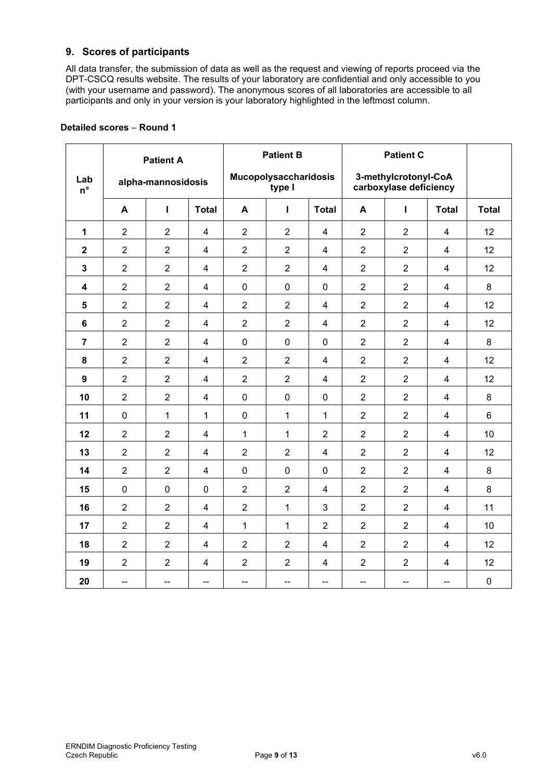## **9. Scores of participants**

All data transfer, the submission of data as well as the request and viewing of reports proceed via the DPT-CSCQ results website. The results of your laboratory are confidential and only accessible to you (with your username and password). The anonymous scores of all laboratories are accessible to all participants and only in your version is your laboratory highlighted in the leftmost column.

|                         | <b>Patient A</b> |                    |                         | <b>Patient B</b> |                                 | <b>Patient C</b> |                |                                                |                         |              |
|-------------------------|------------------|--------------------|-------------------------|------------------|---------------------------------|------------------|----------------|------------------------------------------------|-------------------------|--------------|
| Lab<br>$n^{\circ}$      |                  | alpha-mannosidosis |                         |                  | Mucopolysaccharidosis<br>type I |                  |                | 3-methylcrotonyl-CoA<br>carboxylase deficiency |                         |              |
|                         | A                | Ĭ.                 | <b>Total</b>            | A                | L                               | <b>Total</b>     | A              | $\mathbf{I}$                                   | <b>Total</b>            | <b>Total</b> |
| $\mathbf 1$             | $\overline{2}$   | $\overline{2}$     | $\overline{4}$          | $\overline{2}$   | $\overline{2}$                  | $\overline{4}$   | $\overline{2}$ | $\overline{2}$                                 | $\overline{4}$          | 12           |
| $\overline{\mathbf{2}}$ | $\overline{2}$   | $\overline{2}$     | $\overline{4}$          | $\overline{2}$   | $\overline{2}$                  | $\overline{4}$   | $\overline{2}$ | $\overline{2}$                                 | $\overline{4}$          | 12           |
| $\mathbf 3$             | $\overline{2}$   | $\overline{2}$     | $\overline{4}$          | $\overline{2}$   | $\overline{2}$                  | $\overline{4}$   | $\overline{2}$ | $\overline{2}$                                 | 4                       | 12           |
| $\overline{\mathbf{4}}$ | $\overline{2}$   | $\overline{2}$     | $\overline{4}$          | $\pmb{0}$        | $\mathbf 0$                     | $\mathbf 0$      | $\overline{2}$ | $\overline{2}$                                 | $\overline{4}$          | $\,8\,$      |
| 5                       | $\overline{2}$   | $\overline{2}$     | $\overline{4}$          | $\overline{2}$   | $\overline{2}$                  | $\overline{4}$   | $\overline{2}$ | $\overline{2}$                                 | $\overline{4}$          | 12           |
| 6                       | $\overline{2}$   | $\overline{2}$     | $\overline{\mathbf{4}}$ | $\overline{2}$   | $\overline{2}$                  | $\overline{4}$   | $\overline{2}$ | $\overline{2}$                                 | $\overline{\mathbf{4}}$ | 12           |
| $\overline{7}$          | $\overline{2}$   | $\overline{2}$     | $\overline{4}$          | $\mathbf 0$      | $\mathbf 0$                     | $\overline{0}$   | $\overline{2}$ | $\overline{2}$                                 | $\overline{4}$          | 8            |
| 8                       | $\overline{2}$   | $\overline{2}$     | $\overline{\mathbf{4}}$ | $\overline{2}$   | $\overline{2}$                  | $\overline{4}$   | $\overline{2}$ | $\overline{2}$                                 | $\overline{\mathbf{4}}$ | 12           |
| 9                       | $\overline{2}$   | $\overline{2}$     | $\overline{4}$          | $\overline{2}$   | $\overline{2}$                  | $\overline{4}$   | $\overline{2}$ | $\overline{2}$                                 | 4                       | 12           |
| 10                      | $\overline{2}$   | $\overline{2}$     | $\overline{4}$          | $\mathbf 0$      | $\mathbf 0$                     | $\overline{0}$   | $\overline{2}$ | $\overline{2}$                                 | $\overline{4}$          | 8            |
| 11                      | $\pmb{0}$        | $\mathbf 1$        | $\mathbf{1}$            | $\pmb{0}$        | $\mathbf{1}$                    | $\mathbf{1}$     | $\overline{2}$ | $\overline{2}$                                 | 4                       | 6            |
| 12                      | $\overline{2}$   | $\overline{2}$     | $\overline{4}$          | $\mathbf{1}$     | $\mathbf{1}$                    | $\overline{2}$   | $\overline{2}$ | $\overline{2}$                                 | $\overline{4}$          | 10           |
| 13                      | $\overline{2}$   | $\overline{2}$     | $\overline{4}$          | $\overline{2}$   | $\overline{2}$                  | $\overline{4}$   | $\overline{2}$ | $\overline{2}$                                 | $\overline{4}$          | 12           |
| 14                      | $\overline{2}$   | $\overline{2}$     | $\overline{4}$          | $\pmb{0}$        | $\mathbf 0$                     | $\mathbf 0$      | $\overline{2}$ | $\overline{2}$                                 | $\overline{4}$          | 8            |
| 15                      | 0                | $\mathbf 0$        | $\mathbf 0$             | $\overline{2}$   | $\overline{2}$                  | $\overline{4}$   | $\overline{2}$ | $\overline{2}$                                 | $\overline{4}$          | 8            |
| 16                      | $\overline{2}$   | $\overline{2}$     | $\overline{4}$          | $\overline{2}$   | $\mathbf{1}$                    | 3                | $\overline{2}$ | $\overline{2}$                                 | 4                       | 11           |
| 17                      | $\overline{2}$   | $\overline{2}$     | $\overline{4}$          | $\mathbf{1}$     | 1                               | $\overline{2}$   | $\overline{2}$ | $\overline{2}$                                 | $\overline{\mathbf{4}}$ | 10           |
| 18                      | $\overline{2}$   | $\overline{2}$     | $\overline{\mathbf{4}}$ | $\overline{2}$   | $\overline{2}$                  | $\overline{4}$   | $\overline{2}$ | $\overline{2}$                                 | 4                       | 12           |
| 19                      | $\overline{2}$   | $\overline{2}$     | $\overline{\mathbf{4}}$ | $\overline{2}$   | $\overline{2}$                  | $\overline{4}$   | $\overline{2}$ | $\overline{2}$                                 | $\overline{\mathbf{4}}$ | 12           |
| 20                      | --               | --                 | --                      | --               | --                              | --               | --             | --                                             | --                      | $\pmb{0}$    |

## **Detailed scores** – **Round 1**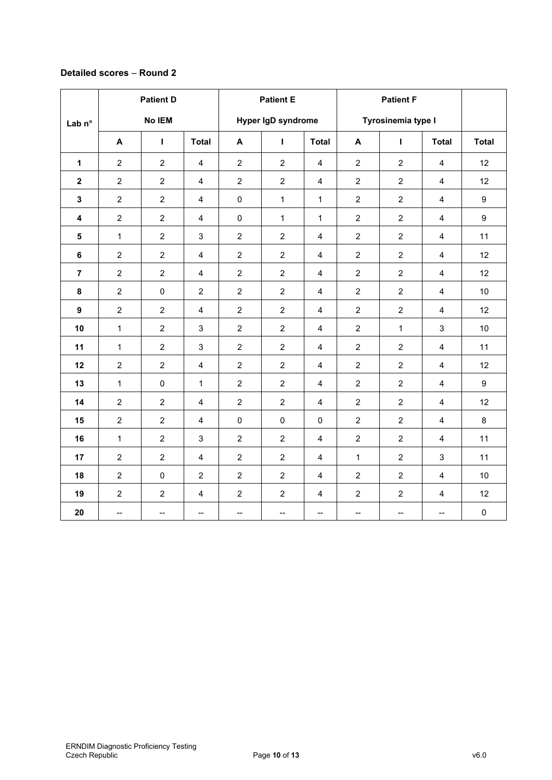## **Detailed scores** – **Round 2**

| Lab n°                  | <b>Patient D</b><br>No IEM |                          | <b>Patient E</b><br>Hyper IgD syndrome |                  |                | <b>Patient F</b><br>Tyrosinemia type I |                          |                          |                          |                     |
|-------------------------|----------------------------|--------------------------|----------------------------------------|------------------|----------------|----------------------------------------|--------------------------|--------------------------|--------------------------|---------------------|
|                         | A                          | L                        | <b>Total</b>                           | $\mathbf{A}$     | $\mathbf{I}$   | <b>Total</b>                           | $\mathbf{A}$             | Т                        | <b>Total</b>             | <b>Total</b>        |
| $\mathbf 1$             | $\overline{2}$             | $\overline{2}$           | $\overline{4}$                         | $\overline{c}$   | $\overline{2}$ | $\overline{4}$                         | $\overline{2}$           | $\overline{c}$           | $\overline{4}$           | 12                  |
| $\overline{\mathbf{2}}$ | $\overline{2}$             | $\overline{2}$           | $\overline{\mathbf{4}}$                | $\overline{c}$   | $\overline{2}$ | $\overline{\mathbf{4}}$                | $\overline{2}$           | $\overline{c}$           | $\overline{\mathbf{4}}$  | 12                  |
| $\mathbf{3}$            | $\overline{2}$             | $\overline{2}$           | $\overline{4}$                         | $\pmb{0}$        | $\mathbf{1}$   | $\mathbf{1}$                           | $\overline{2}$           | $\overline{2}$           | $\overline{4}$           | 9                   |
| $\overline{\mathbf{4}}$ | $\overline{2}$             | $\overline{2}$           | $\overline{4}$                         | $\mathbf 0$      | $\mathbf 1$    | $\mathbf{1}$                           | $\overline{2}$           | $\overline{2}$           | $\overline{4}$           | $\boldsymbol{9}$    |
| ${\bf 5}$               | $\mathbf{1}$               | $\overline{2}$           | $\mathbf{3}$                           | $\overline{2}$   | $\overline{2}$ | $\overline{4}$                         | $\overline{2}$           | $\overline{2}$           | $\overline{4}$           | 11                  |
| $\bf 6$                 | $\overline{2}$             | $\overline{2}$           | $\overline{4}$                         | $\overline{c}$   | $\overline{2}$ | $\overline{\mathbf{4}}$                | $\overline{2}$           | $\overline{a}$           | $\overline{4}$           | 12                  |
| $\overline{7}$          | $\overline{2}$             | $\overline{2}$           | $\overline{4}$                         | $\boldsymbol{2}$ | $\overline{2}$ | $\overline{\mathbf{4}}$                | $\overline{2}$           | $\overline{c}$           | $\overline{\mathbf{4}}$  | 12                  |
| 8                       | $\overline{2}$             | $\pmb{0}$                | $\overline{2}$                         | $\overline{c}$   | $\overline{2}$ | $\overline{4}$                         | $\overline{2}$           | $\overline{c}$           | $\overline{4}$           | 10                  |
| $\boldsymbol{9}$        | $\overline{2}$             | $\overline{2}$           | $\overline{4}$                         | $\overline{c}$   | $\overline{2}$ | $\overline{\mathbf{4}}$                | $\overline{2}$           | $\overline{c}$           | $\overline{\mathbf{4}}$  | 12                  |
| 10                      | $\mathbf{1}$               | $\overline{2}$           | $\mathbf{3}$                           | $\overline{c}$   | $\overline{2}$ | $\overline{4}$                         | $\overline{c}$           | $\mathbf{1}$             | $\mathbf{3}$             | 10                  |
| 11                      | $\mathbf{1}$               | $\overline{2}$           | 3                                      | $\overline{c}$   | $\overline{2}$ | $\overline{\mathbf{4}}$                | $\overline{2}$           | $\overline{2}$           | $\overline{4}$           | 11                  |
| 12                      | $\overline{2}$             | $\overline{2}$           | $\overline{\mathbf{4}}$                | $\overline{c}$   | $\overline{2}$ | $\overline{4}$                         | $\overline{2}$           | $\overline{a}$           | $\overline{4}$           | 12                  |
| 13                      | $\mathbf{1}$               | $\pmb{0}$                | $\mathbf{1}$                           | $\overline{c}$   | $\overline{2}$ | $\overline{4}$                         | $\overline{2}$           | $\overline{2}$           | $\overline{4}$           | 9                   |
| 14                      | $\overline{2}$             | $\overline{2}$           | $\overline{4}$                         | $\overline{c}$   | $\overline{2}$ | $\overline{\mathbf{4}}$                | $\overline{2}$           | $\overline{2}$           | $\overline{\mathbf{4}}$  | 12                  |
| 15                      | $\overline{c}$             | $\overline{2}$           | $\overline{4}$                         | $\pmb{0}$        | $\mathbf 0$    | $\mathbf 0$                            | $\overline{c}$           | $\overline{c}$           | $\overline{4}$           | $\bf 8$             |
| 16                      | $\mathbf{1}$               | $\overline{2}$           | 3                                      | $\overline{c}$   | $\overline{2}$ | $\overline{4}$                         | $\overline{2}$           | $\overline{2}$           | $\overline{4}$           | 11                  |
| 17                      | $\overline{2}$             | $\overline{2}$           | $\overline{\mathbf{4}}$                | $\overline{c}$   | $\overline{2}$ | $\overline{\mathbf{4}}$                | $\mathbf{1}$             | $\overline{c}$           | $\mathfrak{S}$           | 11                  |
| 18                      | $\overline{2}$             | $\pmb{0}$                | $\overline{2}$                         | $\overline{c}$   | $\overline{2}$ | $\overline{4}$                         | $\overline{2}$           | $\overline{2}$           | $\overline{4}$           | 10                  |
| 19                      | $\overline{2}$             | $\overline{2}$           | $\overline{4}$                         | $\overline{c}$   | $\overline{2}$ | $\overline{\mathbf{4}}$                | $\overline{2}$           | $\overline{a}$           | $\overline{4}$           | 12                  |
| 20                      | $\overline{\phantom{a}}$   | $\overline{\phantom{a}}$ | $\overline{\phantom{a}}$               | --               | --             | $\overline{\phantom{a}}$               | $\overline{\phantom{a}}$ | $\overline{\phantom{a}}$ | $\overline{\phantom{a}}$ | $\mathsf{O}\xspace$ |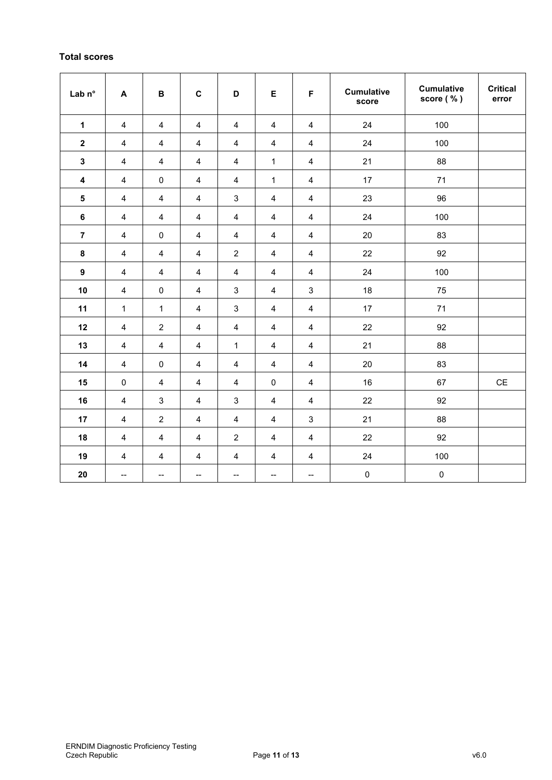## **Total scores**

| Lab n°                  | $\boldsymbol{\mathsf{A}}$ | $\, {\bf B}$   | $\mathbf C$              | D                        | E                        | F                         | <b>Cumulative</b><br>score | <b>Cumulative</b><br>score (%) | <b>Critical</b><br>error |
|-------------------------|---------------------------|----------------|--------------------------|--------------------------|--------------------------|---------------------------|----------------------------|--------------------------------|--------------------------|
| $\mathbf{1}$            | $\overline{4}$            | 4              | 4                        | 4                        | 4                        | 4                         | 24                         | 100                            |                          |
| $\mathbf 2$             | 4                         | 4              | $\overline{\mathbf{4}}$  | $\overline{\mathbf{4}}$  | $\overline{4}$           | $\overline{4}$            | 24                         | 100                            |                          |
| $\mathbf{3}$            | $\overline{4}$            | $\overline{4}$ | $\overline{4}$           | $\overline{4}$           | $\mathbf{1}$             | $\overline{4}$            | 21                         | 88                             |                          |
| $\overline{\mathbf{4}}$ | 4                         | $\mathbf 0$    | $\overline{\mathbf{4}}$  | $\overline{\mathbf{4}}$  | 1                        | $\overline{4}$            | 17                         | 71                             |                          |
| $\sqrt{5}$              | 4                         | $\overline{4}$ | $\overline{\mathbf{4}}$  | $\mathsf 3$              | $\overline{4}$           | $\overline{4}$            | 23                         | 96                             |                          |
| $\bf 6$                 | $\overline{4}$            | $\overline{4}$ | $\overline{4}$           | $\overline{4}$           | $\overline{4}$           | $\overline{4}$            | 24                         | 100                            |                          |
| $\overline{7}$          | 4                         | $\pmb{0}$      | 4                        | 4                        | 4                        | 4                         | 20                         | 83                             |                          |
| 8                       | $\overline{4}$            | $\overline{4}$ | $\overline{4}$           | $\sqrt{2}$               | $\overline{4}$           | $\overline{4}$            | 22                         | 92                             |                          |
| $\boldsymbol{9}$        | $\overline{4}$            | $\overline{4}$ | $\overline{4}$           | $\overline{4}$           | $\overline{4}$           | $\overline{4}$            | 24                         | 100                            |                          |
| 10                      | 4                         | $\pmb{0}$      | 4                        | $\sqrt{3}$               | 4                        | 3                         | 18                         | 75                             |                          |
| 11                      | $\mathbf{1}$              | $\mathbf{1}$   | $\overline{4}$           | $\sqrt{3}$               | $\overline{4}$           | $\overline{4}$            | 17                         | 71                             |                          |
| 12                      | 4                         | $\sqrt{2}$     | $\overline{\mathbf{4}}$  | $\overline{\mathbf{4}}$  | $\overline{4}$           | $\overline{4}$            | 22                         | 92                             |                          |
| 13                      | $\overline{4}$            | $\overline{4}$ | $\overline{\mathbf{4}}$  | $\mathbf{1}$             | 4                        | $\overline{4}$            | 21                         | 88                             |                          |
| 14                      | $\overline{4}$            | $\pmb{0}$      | $\overline{4}$           | $\overline{4}$           | $\overline{4}$           | $\overline{4}$            | 20                         | 83                             |                          |
| 15                      | $\pmb{0}$                 | $\overline{4}$ | $\overline{4}$           | $\overline{4}$           | $\pmb{0}$                | $\overline{4}$            | 16                         | 67                             | $\mathsf{CE}$            |
| 16                      | 4                         | $\sqrt{3}$     | 4                        | $\mathbf{3}$             | $\overline{4}$           | $\overline{4}$            | 22                         | 92                             |                          |
| 17                      | 4                         | $\sqrt{2}$     | $\overline{4}$           | $\overline{4}$           | $\overline{4}$           | $\ensuremath{\mathsf{3}}$ | 21                         | 88                             |                          |
| 18                      | $\overline{4}$            | $\overline{4}$ | $\overline{\mathbf{4}}$  | $\overline{c}$           | $\overline{4}$           | $\overline{4}$            | 22                         | 92                             |                          |
| 19                      | 4                         | 4              | 4                        | 4                        | 4                        | 4                         | 24                         | 100                            |                          |
| 20                      | $\overline{\phantom{a}}$  | --             | $\overline{\phantom{a}}$ | $\overline{\phantom{a}}$ | $\overline{\phantom{a}}$ | $\overline{\phantom{a}}$  | $\pmb{0}$                  | $\pmb{0}$                      |                          |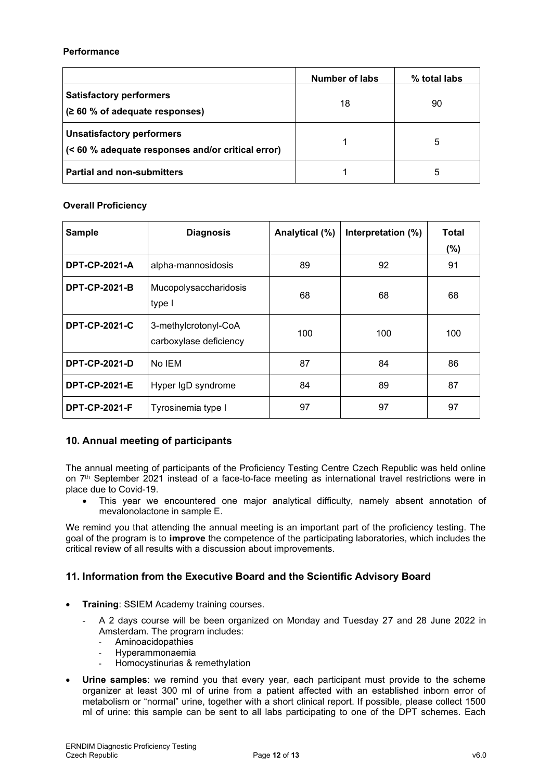#### **Performance**

|                                                                                       | Number of labs | % total labs |
|---------------------------------------------------------------------------------------|----------------|--------------|
| <b>Satisfactory performers</b><br>(260 % of adequate responses)                       | 18             | 90           |
| <b>Unsatisfactory performers</b><br>(< 60 % adequate responses and/or critical error) |                | 5            |
| <b>Partial and non-submitters</b>                                                     |                | 5            |

#### **Overall Proficiency**

| <b>Sample</b>        | <b>Diagnosis</b>                               | Analytical (%) | Interpretation (%) | Total |
|----------------------|------------------------------------------------|----------------|--------------------|-------|
|                      |                                                |                |                    | (%)   |
| <b>DPT-CP-2021-A</b> | alpha-mannosidosis                             | 89             | 92                 | 91    |
| <b>DPT-CP-2021-B</b> | Mucopolysaccharidosis<br>type I                | 68             | 68                 | 68    |
| <b>DPT-CP-2021-C</b> | 3-methylcrotonyl-CoA<br>carboxylase deficiency | 100            | 100                | 100   |
| <b>DPT-CP-2021-D</b> | No IEM                                         | 87             | 84                 | 86    |
| <b>DPT-CP-2021-E</b> | Hyper IgD syndrome                             | 84             | 89                 | 87    |
| <b>DPT-CP-2021-F</b> | Tyrosinemia type I                             | 97             | 97                 | 97    |

## **10. Annual meeting of participants**

The annual meeting of participants of the Proficiency Testing Centre Czech Republic was held online on 7 th September 2021 instead of a face-to-face meeting as international travel restrictions were in place due to Covid-19.

• This year we encountered one major analytical difficulty, namely absent annotation of mevalonolactone in sample E.

We remind you that attending the annual meeting is an important part of the proficiency testing. The goal of the program is to **improve** the competence of the participating laboratories, which includes the critical review of all results with a discussion about improvements.

## **11. Information from the Executive Board and the Scientific Advisory Board**

- **Training**: SSIEM Academy training courses.
	- A 2 days course will be been organized on Monday and Tuesday 27 and 28 June 2022 in Amsterdam. The program includes:
		- Aminoacidopathies
		- Hyperammonaemia
		- Homocystinurias & remethylation
- **Urine samples**: we remind you that every year, each participant must provide to the scheme organizer at least 300 ml of urine from a patient affected with an established inborn error of metabolism or "normal" urine, together with a short clinical report. If possible, please collect 1500 ml of urine: this sample can be sent to all labs participating to one of the DPT schemes. Each